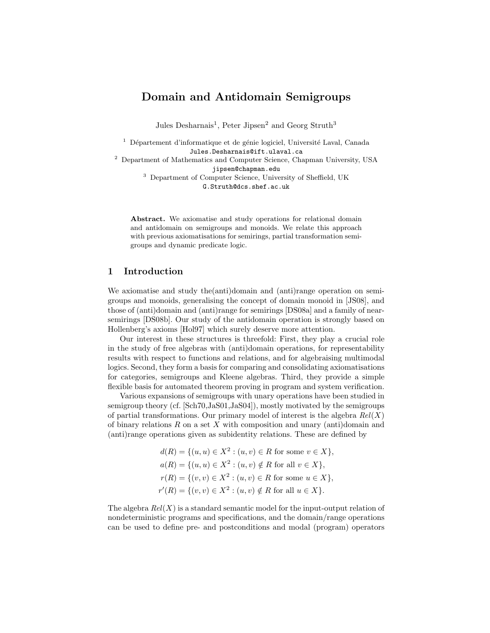# Domain and Antidomain Semigroups

Jules Desharnais<sup>1</sup>, Peter Jipsen<sup>2</sup> and Georg Struth<sup>3</sup>

 $1$  Département d'informatique et de génie logiciel, Université Laval, Canada Jules.Desharnais@ift.ulaval.ca

<sup>2</sup> Department of Mathematics and Computer Science, Chapman University, USA jipsen@chapman.edu

<sup>3</sup> Department of Computer Science, University of Sheffield, UK G.Struth@dcs.shef.ac.uk

Abstract. We axiomatise and study operations for relational domain and antidomain on semigroups and monoids. We relate this approach with previous axiomatisations for semirings, partial transformation semigroups and dynamic predicate logic.

# 1 Introduction

We axiomatise and study the (anti)domain and (anti)range operation on semigroups and monoids, generalising the concept of domain monoid in [JS08], and those of (anti)domain and (anti)range for semirings [DS08a] and a family of nearsemirings [DS08b]. Our study of the antidomain operation is strongly based on Hollenberg's axioms [Hol97] which surely deserve more attention.

Our interest in these structures is threefold: First, they play a crucial role in the study of free algebras with (anti)domain operations, for representability results with respect to functions and relations, and for algebraising multimodal logics. Second, they form a basis for comparing and consolidating axiomatisations for categories, semigroups and Kleene algebras. Third, they provide a simple flexible basis for automated theorem proving in program and system verification.

Various expansions of semigroups with unary operations have been studied in semigroup theory (cf. [Sch70,JaS01,JaS04]), mostly motivated by the semigroups of partial transformations. Our primary model of interest is the algebra  $Rel(X)$ of binary relations  $R$  on a set  $X$  with composition and unary (anti)domain and (anti)range operations given as subidentity relations. These are defined by

$$
d(R) = \{(u, u) \in X^2 : (u, v) \in R \text{ for some } v \in X\},
$$
  
\n
$$
a(R) = \{(u, u) \in X^2 : (u, v) \notin R \text{ for all } v \in X\},
$$
  
\n
$$
r(R) = \{(v, v) \in X^2 : (u, v) \in R \text{ for some } u \in X\},
$$
  
\n
$$
r'(R) = \{(v, v) \in X^2 : (u, v) \notin R \text{ for all } u \in X\}.
$$

The algebra  $Rel(X)$  is a standard semantic model for the input-output relation of nondeterministic programs and specifications, and the domain/range operations can be used to define pre- and postconditions and modal (program) operators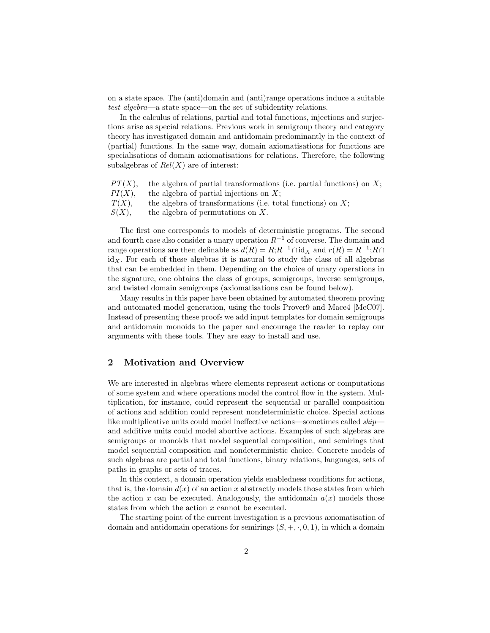on a state space. The (anti)domain and (anti)range operations induce a suitable test algebra—a state space—on the set of subidentity relations.

In the calculus of relations, partial and total functions, injections and surjections arise as special relations. Previous work in semigroup theory and category theory has investigated domain and antidomain predominantly in the context of (partial) functions. In the same way, domain axiomatisations for functions are specialisations of domain axiomatisations for relations. Therefore, the following subalgebras of  $Rel(X)$  are of interest:

- $PT(X)$ , the algebra of partial transformations (i.e. partial functions) on X;  $PI(X)$ , the algebra of partial injections on X;
- $T(X)$ , the algebra of transformations (i.e. total functions) on X;
- $S(X)$ , the algebra of permutations on X.

The first one corresponds to models of deterministic programs. The second and fourth case also consider a unary operation  $R^{-1}$  of converse. The domain and range operations are then definable as  $d(R) = R; R^{-1} \cap id_X$  and  $r(R) = R^{-1}; R \cap id_Y$  $id_X$ . For each of these algebras it is natural to study the class of all algebras that can be embedded in them. Depending on the choice of unary operations in the signature, one obtains the class of groups, semigroups, inverse semigroups, and twisted domain semigroups (axiomatisations can be found below).

Many results in this paper have been obtained by automated theorem proving and automated model generation, using the tools Prover9 and Mace4 [McC07]. Instead of presenting these proofs we add input templates for domain semigroups and antidomain monoids to the paper and encourage the reader to replay our arguments with these tools. They are easy to install and use.

# 2 Motivation and Overview

We are interested in algebras where elements represent actions or computations of some system and where operations model the control flow in the system. Multiplication, for instance, could represent the sequential or parallel composition of actions and addition could represent nondeterministic choice. Special actions like multiplicative units could model ineffective actions—sometimes called skip and additive units could model abortive actions. Examples of such algebras are semigroups or monoids that model sequential composition, and semirings that model sequential composition and nondeterministic choice. Concrete models of such algebras are partial and total functions, binary relations, languages, sets of paths in graphs or sets of traces.

In this context, a domain operation yields enabledness conditions for actions, that is, the domain  $d(x)$  of an action x abstractly models those states from which the action x can be executed. Analogously, the antidomain  $a(x)$  models those states from which the action x cannot be executed.

The starting point of the current investigation is a previous axiomatisation of domain and antidomain operations for semirings  $(S, +, \cdot, 0, 1)$ , in which a domain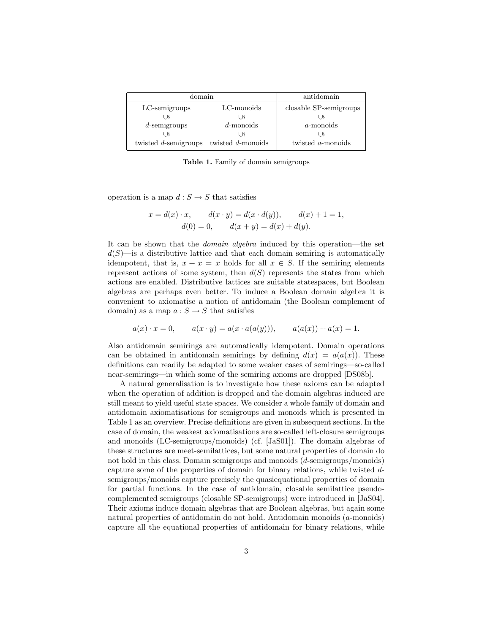| domain               |                   | antidomain                |
|----------------------|-------------------|---------------------------|
| LC-semigroups        | LC-monoids        | closable SP-semigroups    |
| lН                   |                   |                           |
| $d$ -semigroups      | $d$ -monoids      | a-monoids                 |
| ΙK                   |                   |                           |
| twisted d-semigroups | twisted d-monoids | twisted <i>a</i> -monoids |

Table 1. Family of domain semigroups

operation is a map  $d : S \to S$  that satisfies

$$
x = d(x) \cdot x
$$
,  $d(x \cdot y) = d(x \cdot d(y))$ ,  $d(x) + 1 = 1$ ,  
 $d(0) = 0$ ,  $d(x + y) = d(x) + d(y)$ .

It can be shown that the domain algebra induced by this operation—the set  $d(S)$ —is a distributive lattice and that each domain semiring is automatically idempotent, that is,  $x + x = x$  holds for all  $x \in S$ . If the semiring elements represent actions of some system, then  $d(S)$  represents the states from which actions are enabled. Distributive lattices are suitable statespaces, but Boolean algebras are perhaps even better. To induce a Boolean domain algebra it is convenient to axiomatise a notion of antidomain (the Boolean complement of domain) as a map  $a : S \to S$  that satisfies

$$
a(x) \cdot x = 0
$$
,  $a(x \cdot y) = a(x \cdot a(a(y))),$   $a(a(x)) + a(x) = 1$ .

Also antidomain semirings are automatically idempotent. Domain operations can be obtained in antidomain semirings by defining  $d(x) = a(a(x))$ . These definitions can readily be adapted to some weaker cases of semirings—so-called near-semirings—in which some of the semiring axioms are dropped [DS08b].

A natural generalisation is to investigate how these axioms can be adapted when the operation of addition is dropped and the domain algebras induced are still meant to yield useful state spaces. We consider a whole family of domain and antidomain axiomatisations for semigroups and monoids which is presented in Table 1 as an overview. Precise definitions are given in subsequent sections. In the case of domain, the weakest axiomatisations are so-called left-closure semigroups and monoids (LC-semigroups/monoids) (cf. [JaS01]). The domain algebras of these structures are meet-semilattices, but some natural properties of domain do not hold in this class. Domain semigroups and monoids (d-semigroups/monoids) capture some of the properties of domain for binary relations, while twisted dsemigroups/monoids capture precisely the quasiequational properties of domain for partial functions. In the case of antidomain, closable semilattice pseudocomplemented semigroups (closable SP-semigroups) were introduced in [JaS04]. Their axioms induce domain algebras that are Boolean algebras, but again some natural properties of antidomain do not hold. Antidomain monoids (a-monoids) capture all the equational properties of antidomain for binary relations, while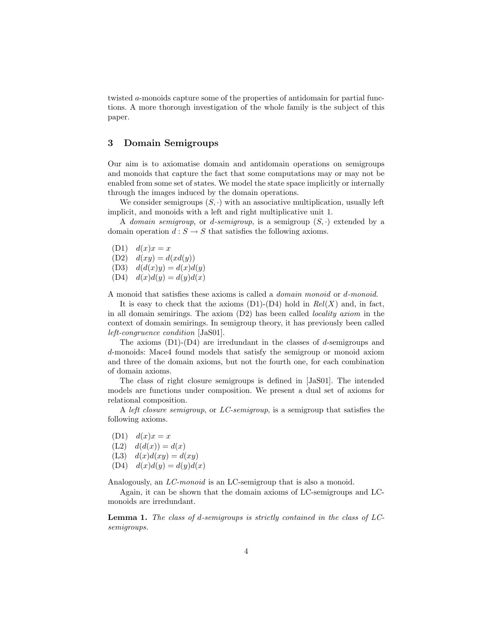twisted a-monoids capture some of the properties of antidomain for partial functions. A more thorough investigation of the whole family is the subject of this paper.

### 3 Domain Semigroups

Our aim is to axiomatise domain and antidomain operations on semigroups and monoids that capture the fact that some computations may or may not be enabled from some set of states. We model the state space implicitly or internally through the images induced by the domain operations.

We consider semigroups  $(S, \cdot)$  with an associative multiplication, usually left implicit, and monoids with a left and right multiplicative unit 1.

A domain semigroup, or d-semigroup, is a semigroup  $(S, \cdot)$  extended by a domain operation  $d : S \to S$  that satisfies the following axioms.

- $(D1)$   $d(x)x = x$
- (D2)  $d(xy) = d(xd(y))$
- (D3)  $d(d(x)y) = d(x)d(y)$
- (D4)  $d(x)d(y) = d(y)d(x)$

A monoid that satisfies these axioms is called a domain monoid or d-monoid.

It is easy to check that the axioms  $(D1)-(D4)$  hold in  $Rel(X)$  and, in fact, in all domain semirings. The axiom  $(D2)$  has been called *locality axiom* in the context of domain semirings. In semigroup theory, it has previously been called left-congruence condition [JaS01].

The axioms  $(D1)-(D4)$  are irredundant in the classes of d-semigroups and d-monoids: Mace4 found models that satisfy the semigroup or monoid axiom and three of the domain axioms, but not the fourth one, for each combination of domain axioms.

The class of right closure semigroups is defined in [JaS01]. The intended models are functions under composition. We present a dual set of axioms for relational composition.

A left closure semigroup, or LC-semigroup, is a semigroup that satisfies the following axioms.

- $(D1)$   $d(x)x = x$
- $(L2)$   $d(d(x)) = d(x)$
- (L3)  $d(x)d(xy) = d(xy)$
- (D4)  $d(x)d(y) = d(y)d(x)$

Analogously, an *LC-monoid* is an LC-semigroup that is also a monoid.

Again, it can be shown that the domain axioms of LC-semigroups and LCmonoids are irredundant.

Lemma 1. The class of d-semigroups is strictly contained in the class of LCsemigroups.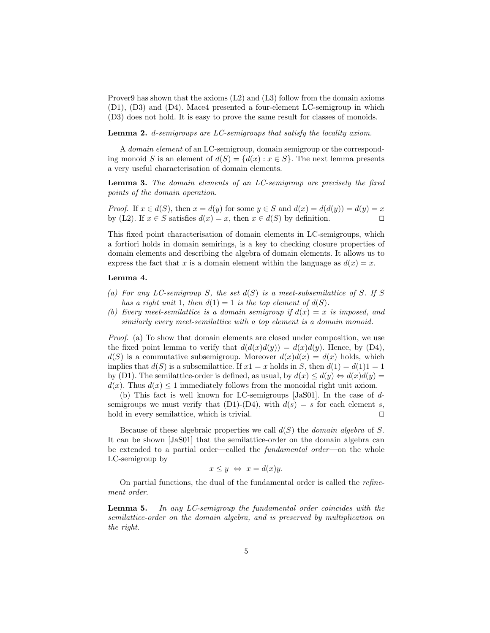Prover9 has shown that the axioms (L2) and (L3) follow from the domain axioms (D1), (D3) and (D4). Mace4 presented a four-element LC-semigroup in which (D3) does not hold. It is easy to prove the same result for classes of monoids.

Lemma 2. d-semigroups are LC-semigroups that satisfy the locality axiom.

A domain element of an LC-semigroup, domain semigroup or the corresponding monoid S is an element of  $d(S) = \{d(x) : x \in S\}$ . The next lemma presents a very useful characterisation of domain elements.

Lemma 3. The domain elements of an LC-semigroup are precisely the fixed points of the domain operation.

*Proof.* If  $x \in d(S)$ , then  $x = d(y)$  for some  $y \in S$  and  $d(x) = d(d(y)) = d(y) = x$ by (L2). If  $x \in S$  satisfies  $d(x) = x$ , then  $x \in d(S)$  by definition.

This fixed point characterisation of domain elements in LC-semigroups, which a fortiori holds in domain semirings, is a key to checking closure properties of domain elements and describing the algebra of domain elements. It allows us to express the fact that x is a domain element within the language as  $d(x) = x$ .

#### Lemma 4.

- (a) For any LC-semigroup S, the set  $d(S)$  is a meet-subsemilattice of S. If S has a right unit 1, then  $d(1) = 1$  is the top element of  $d(S)$ .
- (b) Every meet-semilattice is a domain semigroup if  $d(x) = x$  is imposed, and similarly every meet-semilattice with a top element is a domain monoid.

Proof. (a) To show that domain elements are closed under composition, we use the fixed point lemma to verify that  $d(d(x)d(y)) = d(x)d(y)$ . Hence, by (D4),  $d(S)$  is a commutative subsemigroup. Moreover  $d(x)d(x) = d(x)$  holds, which implies that  $d(S)$  is a subsemilattice. If  $x1 = x$  holds in S, then  $d(1) = d(1)1 = 1$ by (D1). The semilattice-order is defined, as usual, by  $d(x) \leq d(y) \Leftrightarrow d(x)d(y) =$  $d(x)$ . Thus  $d(x) \leq 1$  immediately follows from the monoidal right unit axiom.

(b) This fact is well known for LC-semigroups [JaS01]. In the case of dsemigroups we must verify that (D1)-(D4), with  $d(s) = s$  for each element s, hold in every semilattice, which is trivial.  $\Box$ 

Because of these algebraic properties we call  $d(S)$  the *domain algebra* of S. It can be shown [JaS01] that the semilattice-order on the domain algebra can be extended to a partial order—called the fundamental order—on the whole LC-semigroup by

$$
x \le y \iff x = d(x)y.
$$

On partial functions, the dual of the fundamental order is called the refinement order.

**Lemma 5.** In any LC-semigroup the fundamental order coincides with the semilattice-order on the domain algebra, and is preserved by multiplication on the right.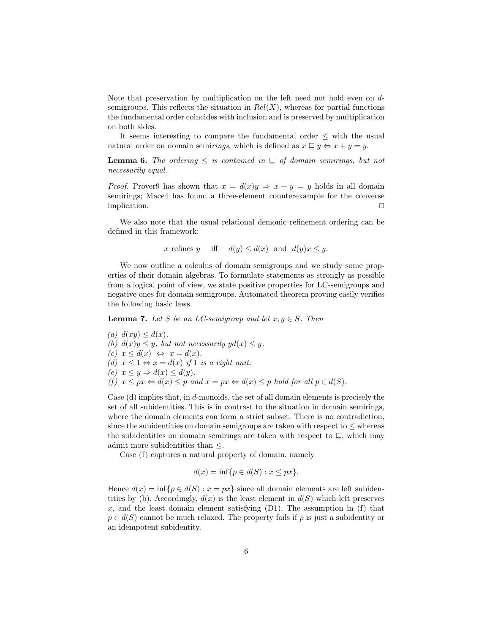Note that preservation by multiplication on the left need not hold even on dsemigroups. This reflects the situation in  $Rel(X)$ , whereas for partial functions the fundamental order coincides with inclusion and is preserved by multiplication on both sides.

It seems interesting to compare the fundamental order  $\leq$  with the usual natural order on domain semirings, which is defined as  $x \sqsubseteq y \Leftrightarrow x + y = y$ .

**Lemma 6.** The ordering  $\leq$  is contained in  $\subseteq$  of domain semirings, but not necessarily equal.

*Proof.* Prover9 has shown that  $x = d(x)y \Rightarrow x + y = y$  holds in all domain semirings; Mace4 has found a three-element counterexample for the converse implication.  $\Box$ 

We also note that the usual relational demonic refinement ordering can be defined in this framework:

x refines y iff  $d(y) \leq d(x)$  and  $d(y)x \leq y$ .

We now outline a calculus of domain semigroups and we study some properties of their domain algebras. To formulate statements as strongly as possible from a logical point of view, we state positive properties for LC-semigroups and negative ones for domain semigroups. Automated theorem proving easily verifies the following basic laws.

**Lemma 7.** Let S be an LC-semigroup and let  $x, y \in S$ . Then

(a)  $d(xy) \leq d(x)$ . (b)  $d(x)y \leq y$ , but not necessarily  $yd(x) \leq y$ . (c)  $x \leq d(x) \Leftrightarrow x = d(x)$ . (d)  $x \leq 1 \Leftrightarrow x = d(x)$  if 1 is a right unit. (e)  $x \leq y \Rightarrow d(x) \leq d(y)$ . (f)  $x \le px \Leftrightarrow d(x) \le p$  and  $x = px \Leftrightarrow d(x) \le p$  hold for all  $p \in d(S)$ .

Case (d) implies that, in d-monoids, the set of all domain elements is precisely the set of all subidentities. This is in contrast to the situation in domain semirings, where the domain elements can form a strict subset. There is no contradiction, since the subidentities on domain semigroups are taken with respect to  $\leq$  whereas the subidentities on domain semirings are taken with respect to  $\subseteq$ , which may admit more subidentities than ≤.

Case (f) captures a natural property of domain, namely

$$
d(x) = \inf\{p \in d(S) : x \le px\}.
$$

Hence  $d(x) = \inf\{p \in d(S) : x = px\}$  since all domain elements are left subidentities by (b). Accordingly,  $d(x)$  is the least element in  $d(S)$  which left preserves x, and the least domain element satisfying  $(D1)$ . The assumption in  $(f)$  that  $p \in d(S)$  cannot be much relaxed. The property fails if p is just a subidentity or an idempotent subidentity.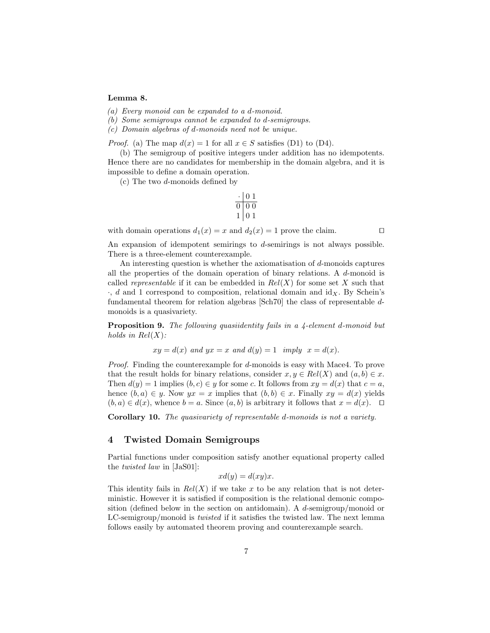#### Lemma 8.

- (a) Every monoid can be expanded to a d-monoid.
- (b) Some semigroups cannot be expanded to d-semigroups.
- (c) Domain algebras of d-monoids need not be unique.

*Proof.* (a) The map  $d(x) = 1$  for all  $x \in S$  satisfies (D1) to (D4).

(b) The semigroup of positive integers under addition has no idempotents. Hence there are no candidates for membership in the domain algebra, and it is impossible to define a domain operation.

 $(c)$  The two *d*-monoids defined by

| O, |
|----|
|    |

with domain operations  $d_1(x) = x$  and  $d_2(x) = 1$  prove the claim.

An expansion of idempotent semirings to d-semirings is not always possible. There is a three-element counterexample.

An interesting question is whether the axiomatisation of d-monoids captures all the properties of the domain operation of binary relations. A d-monoid is called representable if it can be embedded in  $Rel(X)$  for some set X such that  $\cdot$ , d and 1 correspond to composition, relational domain and id<sub>X</sub>. By Schein's fundamental theorem for relation algebras [Sch70] the class of representable dmonoids is a quasivariety.

Proposition 9. The following quasiidentity fails in a 4-element d-monoid but holds in  $Rel(X)$ :

$$
xy = d(x)
$$
 and  $yx = x$  and  $d(y) = 1$  imply  $x = d(x)$ .

Proof. Finding the counterexample for d-monoids is easy with Mace4. To prove that the result holds for binary relations, consider  $x, y \in Rel(X)$  and  $(a, b) \in x$ . Then  $d(y) = 1$  implies  $(b, c) \in y$  for some c. It follows from  $xy = d(x)$  that  $c = a$ , hence  $(b, a) \in y$ . Now  $yx = x$  implies that  $(b, b) \in x$ . Finally  $xy = d(x)$  yields  $(b, a) \in d(x)$ , whence  $b = a$ . Since  $(a, b)$  is arbitrary it follows that  $x = d(x)$ .  $\Box$ 

Corollary 10. The quasivariety of representable d-monoids is not a variety.

### 4 Twisted Domain Semigroups

Partial functions under composition satisfy another equational property called the twisted law in [JaS01]:

$$
xd(y) = d(xy)x.
$$

This identity fails in  $Rel(X)$  if we take x to be any relation that is not deterministic. However it is satisfied if composition is the relational demonic composition (defined below in the section on antidomain). A d-semigroup/monoid or LC-semigroup/monoid is twisted if it satisfies the twisted law. The next lemma follows easily by automated theorem proving and counterexample search.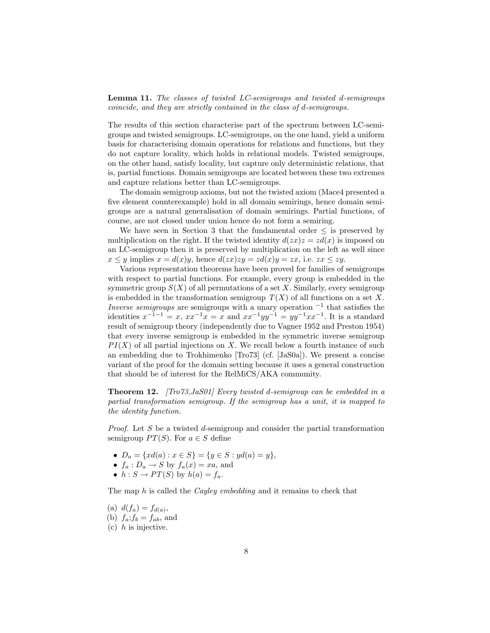#### Lemma 11. The classes of twisted LC-semigroups and twisted d-semigroups coincide, and they are strictly contained in the class of d-semigroups.

The results of this section characterise part of the spectrum between LC-semigroups and twisted semigroups. LC-semigroups, on the one hand, yield a uniform basis for characterising domain operations for relations and functions, but they do not capture locality, which holds in relational models. Twisted semigroups, on the other hand, satisfy locality, but capture only deterministic relations, that is, partial functions. Domain semigroups are located between these two extremes and capture relations better than LC-semigroups.

The domain semigroup axioms, but not the twisted axiom (Mace4 presented a five element counterexample) hold in all domain semirings, hence domain semigroups are a natural generalisation of domain semirings. Partial functions, of course, are not closed under union hence do not form a semiring.

We have seen in Section 3 that the fundamental order  $\leq$  is preserved by multiplication on the right. If the twisted identity  $d(zx)z = zd(x)$  is imposed on an LC-semigroup then it is preserved by multiplication on the left as well since  $x \leq y$  implies  $x = d(x)y$ , hence  $d(zx)zy = zd(x)y = zx$ , i.e.  $zx \leq zy$ .

Various representation theorems have been proved for families of semigroups with respect to partial functions. For example, every group is embedded in the symmetric group  $S(X)$  of all permutations of a set X. Similarly, every semigroup is embedded in the transformation semigroup  $T(X)$  of all functions on a set X. Inverse semigroups are semigroups with a unary operation  $^{-1}$  that satisfies the identities  $x^{-1-1} = x$ ,  $xx^{-1}x = x$  and  $xx^{-1}yy^{-1} = yy^{-1}xx^{-1}$ . It is a standard result of semigroup theory (independently due to Vagner 1952 and Preston 1954) that every inverse semigroup is embedded in the symmetric inverse semigroup  $PI(X)$  of all partial injections on X. We recall below a fourth instance of such an embedding due to Trokhimenko [Tro73] (cf. [JaS0a]). We present a concise variant of the proof for the domain setting because it uses a general construction that should be of interest for the RelMiCS/AKA community.

**Theorem 12.** [Tro73, JaS01] Every twisted d-semigroup can be embedded in a partial transformation semigroup. If the semigroup has a unit, it is mapped to the identity function.

*Proof.* Let S be a twisted d-semigroup and consider the partial transformation semigroup  $PT(S)$ . For  $a \in S$  define

- $D_a = \{xd(a) : x \in S\} = \{y \in S : yd(a) = y\},\$
- $f_a: D_a \to S$  by  $f_a(x) = xa$ , and
- $h: S \to PT(S)$  by  $h(a) = f_a$ .

The map h is called the *Cayley embedding* and it remains to check that

- (a)  $d(f_a) = f_{d(a)}$ ,
- (b)  $f_a$ ;  $f_b = f_{ab}$ , and
- (c)  $h$  is injective.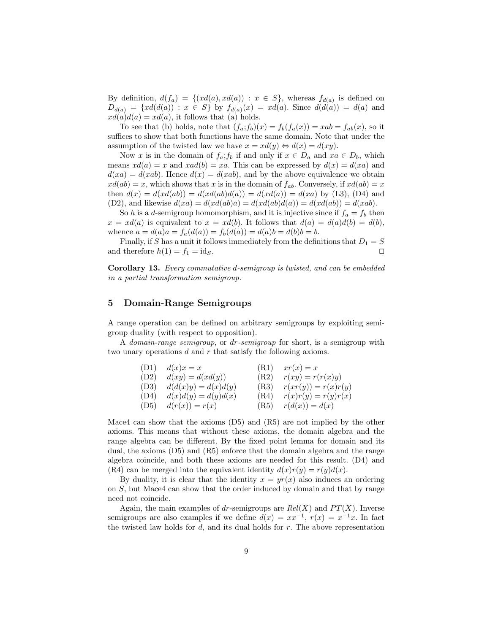By definition,  $d(f_a) = \{(xd(a), xd(a)) : x \in S\}$ , whereas  $f_{d(a)}$  is defined on  $D_{d(a)} = \{xd(d(a)) : x \in S\}$  by  $f_{d(a)}(x) = xd(a)$ . Since  $d(d(a)) = d(a)$  and  $xd(a)d(a) = xd(a)$ , it follows that (a) holds.

To see that (b) holds, note that  $(f_a; f_b)(x) = f_b(f_a(x)) = xab = f_{ab}(x)$ , so it suffices to show that both functions have the same domain. Note that under the assumption of the twisted law we have  $x = xd(y) \Leftrightarrow d(x) = d(xy)$ .

Now x is in the domain of  $f_a$ ;  $f_b$  if and only if  $x \in D_a$  and  $xa \in D_b$ , which means  $xd(a) = x$  and  $rad(b) = xa$ . This can be expressed by  $d(x) = d(xa)$  and  $d(xa) = d(xab)$ . Hence  $d(x) = d(xab)$ , and by the above equivalence we obtain  $xd(ab) = x$ , which shows that x is in the domain of  $f_{ab}$ . Conversely, if  $xd(ab) = x$ then  $d(x) = d(xd(ab)) = d(xd(ab)d(a)) = d(xd(a)) = d(xa)$  by (L3), (D4) and (D2), and likewise  $d(xa) = d(xd(ab)a) = d(xd(ab)d(a)) = d(xd(ab)) = d(xab)$ .

So h is a d-semigroup homomorphism, and it is injective since if  $f_a = f_b$  then  $x = xd(a)$  is equivalent to  $x = xd(b)$ . It follows that  $d(a) = d(a)d(b) = d(b)$ , whence  $a = d(a)a = f_a(d(a)) = f_b(d(a)) = d(a)b = d(b)b = b$ .

Finally, if S has a unit it follows immediately from the definitions that  $D_1 = S$ and therefore  $h(1) = f_1 = id_S$ .

Corollary 13. Every commutative d-semigroup is twisted, and can be embedded in a partial transformation semigroup.

#### 5 Domain-Range Semigroups

A range operation can be defined on arbitrary semigroups by exploiting semigroup duality (with respect to opposition).

A domain-range semigroup, or dr-semigroup for short, is a semigroup with two unary operations d and r that satisfy the following axioms.

| (D1) | $d(x)x=x$             | (R1) | $xr(x)=x$             |
|------|-----------------------|------|-----------------------|
| (D2) | $d(xy) = d(xd(y))$    | (R2) | $r(xy) = r(r(x)y)$    |
| (D3) | $d(d(x)y) = d(x)d(y)$ | (R3) | $r(xr(y)) = r(x)r(y)$ |
| (D4) | $d(x)d(y) = d(y)d(x)$ | (R4) | $r(x)r(y) = r(y)r(x)$ |
| (D5) | $d(r(x)) = r(x)$      | (R5) | $r(d(x)) = d(x)$      |

Mace4 can show that the axioms (D5) and (R5) are not implied by the other axioms. This means that without these axioms, the domain algebra and the range algebra can be different. By the fixed point lemma for domain and its dual, the axioms (D5) and (R5) enforce that the domain algebra and the range algebra coincide, and both these axioms are needed for this result. (D4) and (R4) can be merged into the equivalent identity  $d(x)r(y) = r(y)d(x)$ .

By duality, it is clear that the identity  $x = yr(x)$  also induces an ordering on S, but Mace4 can show that the order induced by domain and that by range need not coincide.

Again, the main examples of dr-semigroups are  $Rel(X)$  and  $PT(X)$ . Inverse semigroups are also examples if we define  $d(x) = xx^{-1}$ ,  $r(x) = x^{-1}x$ . In fact the twisted law holds for  $d$ , and its dual holds for  $r$ . The above representation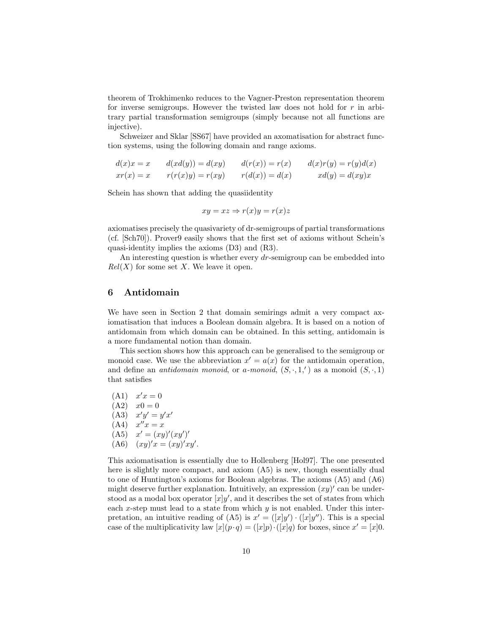theorem of Trokhimenko reduces to the Vagner-Preston representation theorem for inverse semigroups. However the twisted law does not hold for  $r$  in arbitrary partial transformation semigroups (simply because not all functions are injective).

Schweizer and Sklar [SS67] have provided an axomatisation for abstract function systems, using the following domain and range axioms.

$$
d(x)x = x \t d(xd(y)) = d(xy) \t d(r(x)) = r(x) \t d(x)r(y) = r(y)d(x)
$$
  

$$
xr(x) = x \t r(r(x)y) = r(xy) \t r(d(x)) = d(x) \t x d(y) = d(xy)x
$$

Schein has shown that adding the quasiidentity

$$
xy = xz \Rightarrow r(x)y = r(x)z
$$

axiomatises precisely the quasivariety of dr-semigroups of partial transformations (cf. [Sch70]). Prover9 easily shows that the first set of axioms without Schein's quasi-identity implies the axioms (D3) and (R3).

An interesting question is whether every  $dr$ -semigroup can be embedded into  $Rel(X)$  for some set X. We leave it open.

# 6 Antidomain

We have seen in Section 2 that domain semirings admit a very compact axiomatisation that induces a Boolean domain algebra. It is based on a notion of antidomain from which domain can be obtained. In this setting, antidomain is a more fundamental notion than domain.

This section shows how this approach can be generalised to the semigroup or monoid case. We use the abbreviation  $x' = a(x)$  for the antidomain operation, and define an *antidomain monoid*, or *a-monoid*,  $(S, \cdot, 1,')$  as a monoid  $(S, \cdot, 1)$ that satisfies

- $(A1)$   $x'x = 0$
- $(A2)$   $x0 = 0$
- $(A3)$  $y' = y'x'$
- $(A4)$   $x''x = x$
- $(A5)$  $' = (xy)'(xy')'$
- (A6)  $(xy)'x = (xy)'xy'.$

This axiomatisation is essentially due to Hollenberg [Hol97]. The one presented here is slightly more compact, and axiom  $(A5)$  is new, though essentially dual to one of Huntington's axioms for Boolean algebras. The axioms (A5) and (A6) might deserve further explanation. Intuitively, an expression  $(xy)'$  can be understood as a modal box operator  $[x]y'$ , and it describes the set of states from which each x-step must lead to a state from which  $y$  is not enabled. Under this interpretation, an intuitive reading of (A5) is  $x' = (x|y') \cdot (x|y'')$ . This is a special case of the multiplicativity law  $[x](p \cdot q) = ( [x]p) \cdot ([x]q)$  for boxes, since  $x' = [x]0$ .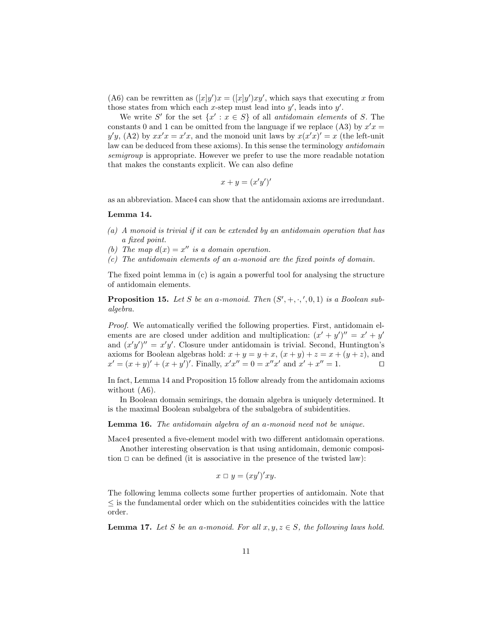(A6) can be rewritten as  $([x]y')x = ([x]y')xy'$ , which says that executing x from those states from which each x-step must lead into  $y'$ , leads into  $y'$ .

We write S' for the set  $\{x': x \in S\}$  of all antidomain elements of S. The constants 0 and 1 can be omitted from the language if we replace (A3) by  $x'x =$  $y'y$ , (A2) by  $xx'x = x'x$ , and the monoid unit laws by  $x(x'x)' = x$  (the left-unit law can be deduced from these axioms). In this sense the terminology *antidomain* semigroup is appropriate. However we prefer to use the more readable notation that makes the constants explicit. We can also define

$$
x + y = (x'y')'
$$

as an abbreviation. Mace4 can show that the antidomain axioms are irredundant.

#### Lemma 14.

- (a) A monoid is trivial if it can be extended by an antidomain operation that has a fixed point.
- (b) The map  $d(x) = x''$  is a domain operation.
- (c) The antidomain elements of an a-monoid are the fixed points of domain.

The fixed point lemma in (c) is again a powerful tool for analysing the structure of antidomain elements.

**Proposition 15.** Let S be an a-monoid. Then  $(S', +, \cdot, ', 0, 1)$  is a Boolean subalgebra.

Proof. We automatically verified the following properties. First, antidomain elements are are closed under addition and multiplication:  $(x' + y')'' = x' + y'$ and  $(x'y')'' = x'y'$ . Closure under antidomain is trivial. Second, Huntington's axioms for Boolean algebras hold:  $x + y = y + x$ ,  $(x + y) + z = x + (y + z)$ , and  $x' = (x + y)' + (x + y')'.$  Finally,  $x'x'' = 0 = x''x'$  and  $x' + x'' = 1.$ 

In fact, Lemma 14 and Proposition 15 follow already from the antidomain axioms without (A6).

In Boolean domain semirings, the domain algebra is uniquely determined. It is the maximal Boolean subalgebra of the subalgebra of subidentities.

Lemma 16. The antidomain algebra of an a-monoid need not be unique.

Mace4 presented a five-element model with two different antidomain operations. Another interesting observation is that using antidomain, demonic composi-

tion  $\Box$  can be defined (it is associative in the presence of the twisted law):

$$
x \sqcup y = (xy')'xy.
$$

The following lemma collects some further properties of antidomain. Note that ≤ is the fundamental order which on the subidentities coincides with the lattice order.

**Lemma 17.** Let S be an a-monoid. For all  $x, y, z \in S$ , the following laws hold.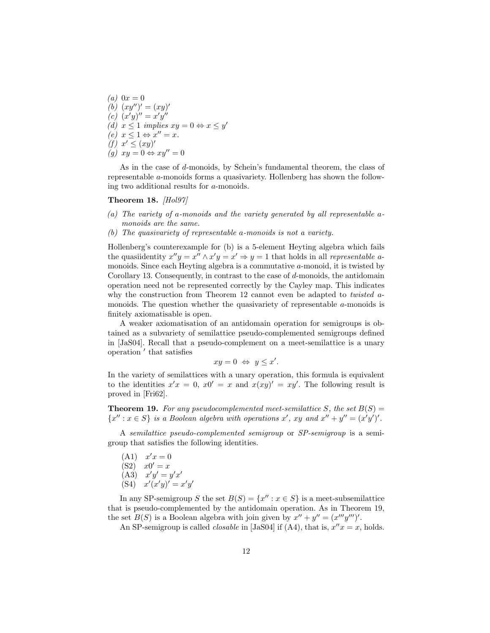(*a*)  $0x = 0$ (b)  $(xy'')' = (xy)'$ (c)  $(x'y)'' = x'y''$ (d)  $x \leq 1$  implies  $xy = 0 \Leftrightarrow x \leq y'$ (e)  $x \leq 1 \Leftrightarrow x'' = x$ .  $(f)$   $x' \leq (xy)'$ (g)  $xy = 0 \Leftrightarrow xy'' = 0$ 

As in the case of d-monoids, by Schein's fundamental theorem, the class of representable a-monoids forms a quasivariety. Hollenberg has shown the following two additional results for a-monoids.

#### Theorem 18. [Hol97]

- (a) The variety of a-monoids and the variety generated by all representable amonoids are the same.
- (b) The quasivariety of representable a-monoids is not a variety.

Hollenberg's counterexample for (b) is a 5-element Heyting algebra which fails the quasiidentity  $x''y = x'' \wedge x'y = x' \Rightarrow y = 1$  that holds in all *representable a*monoids. Since each Heyting algebra is a commutative  $a$ -monoid, it is twisted by Corollary 13. Consequently, in contrast to the case of d-monoids, the antidomain operation need not be represented correctly by the Cayley map. This indicates why the construction from Theorem 12 cannot even be adapted to *twisted a*monoids. The question whether the quasivariety of representable a-monoids is finitely axiomatisable is open.

A weaker axiomatisation of an antidomain operation for semigroups is obtained as a subvariety of semilattice pseudo-complemented semigroups defined in [JaS04]. Recall that a pseudo-complement on a meet-semilattice is a unary operation ' that satisfies

$$
xy = 0 \Leftrightarrow y \leq x'.
$$

In the variety of semilattices with a unary operation, this formula is equivalent to the identities  $x'x = 0$ ,  $x0' = x$  and  $x(xy)' = xy'$ . The following result is proved in [Fri62].

**Theorem 19.** For any pseudocomplemented meet-semilattice S, the set  $B(S)$  =  ${x'' : x \in S}$  is a Boolean algebra with operations x', xy and  $x'' + y'' = (x'y')'.$ 

A semilattice pseudo-complemented semigroup or SP-semigroup is a semigroup that satisfies the following identities.

 $(A1)$   $x'x = 0$  $(S2)$   $x0' = x$ (A3)  $x'y' = y'x'$  $(S4)$   $x'(x'y)' = x'y'$ 

In any SP-semigroup S the set  $B(S) = \{x'' : x \in S\}$  is a meet-subsemilattice that is pseudo-complemented by the antidomain operation. As in Theorem 19, the set  $B(S)$  is a Boolean algebra with join given by  $x'' + y'' = (x'''y''')'.$ 

An SP-semigroup is called *closable* in [JaS04] if (A4), that is,  $x''x = x$ , holds.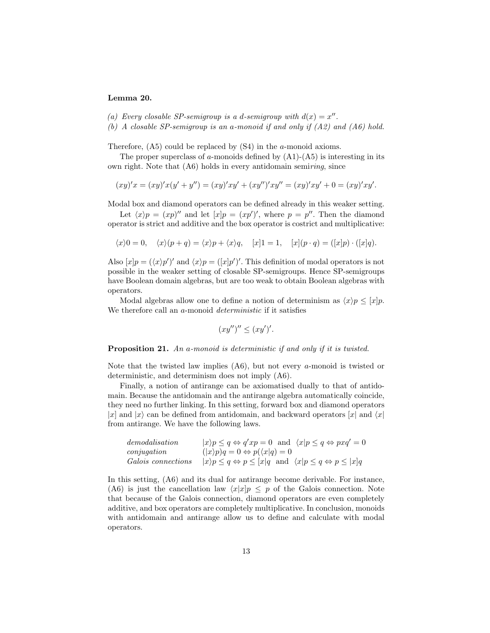#### Lemma 20.

- (a) Every closable SP-semigroup is a d-semigroup with  $d(x) = x''$ .
- (b) A closable SP-semigroup is an a-monoid if and only if (A2) and (A6) hold.

Therefore, (A5) could be replaced by (S4) in the a-monoid axioms.

The proper superclass of a-monoids defined by  $(A1)-(A5)$  is interesting in its own right. Note that (A6) holds in every antidomain semiring, since

$$
(xy)'x = (xy)'x(y' + y'') = (xy)'xy' + (xy'')'xy'' = (xy)'xy' + 0 = (xy)'xy'.
$$

Modal box and diamond operators can be defined already in this weaker setting.

Let  $\langle x \rangle p = (xp)''$  and let  $[x]p = (xp')'$ , where  $p = p''$ . Then the diamond operator is strict and additive and the box operator is costrict and multiplicative:

$$
\langle x \rangle 0 = 0, \quad \langle x \rangle (p+q) = \langle x \rangle p + \langle x \rangle q, \quad [x]1 = 1, \quad [x](p \cdot q) = ([x]p) \cdot ([x]q).
$$

Also  $[x]p = (\langle x \rangle p')'$  and  $\langle x \rangle p = ([x]p')'$ . This definition of modal operators is not possible in the weaker setting of closable SP-semigroups. Hence SP-semigroups have Boolean domain algebras, but are too weak to obtain Boolean algebras with operators.

Modal algebras allow one to define a notion of determinism as  $\langle x \rangle p \leq [x]p$ . We therefore call an a-monoid *deterministic* if it satisfies

$$
(xy'')'' \leq (xy')'.
$$

**Proposition 21.** An a-monoid is deterministic if and only if it is twisted.

Note that the twisted law implies  $(A6)$ , but not every a-monoid is twisted or deterministic, and determinism does not imply (A6).

Finally, a notion of antirange can be axiomatised dually to that of antidomain. Because the antidomain and the antirange algebra automatically coincide, they need no further linking. In this setting, forward box and diamond operators |x| and |x| can be defined from antidomain, and backward operators [x] and  $\langle x|$ from antirange. We have the following laws.

| demodalisation     | $ x\rangle p \leq q \Leftrightarrow q'xp = 0$ and $\langle x p \leq q \Leftrightarrow pxq' = 0$              |
|--------------------|--------------------------------------------------------------------------------------------------------------|
| conjugation        | $(x/p)q = 0 \Leftrightarrow p(\langle x q) = 0$                                                              |
| Galois connections | $ x\rangle p \leq q \Leftrightarrow p \leq [x q \text{ and } \langle x p \leq q \Leftrightarrow p \leq  x q$ |

In this setting, (A6) and its dual for antirange become derivable. For instance, (A6) is just the cancellation law  $\langle x|x|p \leq p$  of the Galois connection. Note that because of the Galois connection, diamond operators are even completely additive, and box operators are completely multiplicative. In conclusion, monoids with antidomain and antirange allow us to define and calculate with modal operators.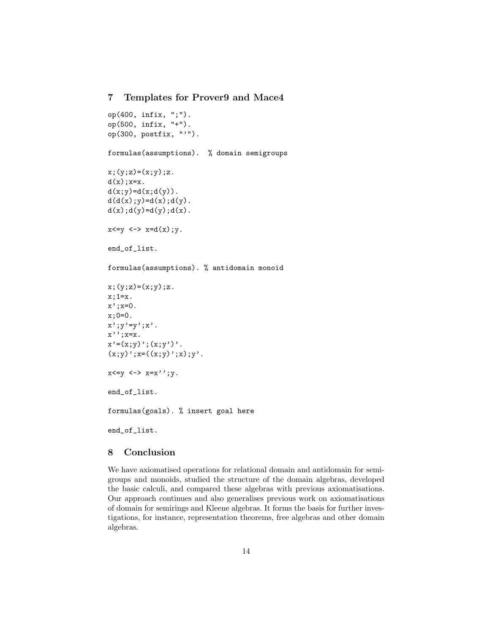# 7 Templates for Prover9 and Mace4

```
op(400, infix, ";").
op(500, infix, "+").
op(300, postfix, "'").
formulas(assumptions). % domain semigroups
x; (y; z) = (x; y); z.
d(x); x=x.d(x; y) = d(x; d(y)).
d(d(x); y) = d(x); d(y).d(x); d(y)=d(y); d(x).
x \leq y \leq x \leq d(x); y.end_of_list.
formulas(assumptions). % antidomain monoid
x; (y;z)=(x;y);z.
x; 1=x.
x<sup>\cdot</sup>; x=0.
x;0=0.
x'; y' =y'; x'.
x''; x=x.
x'=(x;y) ; (x;y') .
(x; y)'; x=((x; y)'; x); y'.
x \leq y \iff x = x'; y.
end_of_list.
formulas(goals). % insert goal here
```
end\_of\_list.

# 8 Conclusion

We have axiomatised operations for relational domain and antidomain for semigroups and monoids, studied the structure of the domain algebras, developed the basic calculi, and compared these algebras with previous axiomatisations. Our approach continues and also generalises previous work on axiomatisations of domain for semirings and Kleene algebras. It forms the basis for further investigations, for instance, representation theorems, free algebras and other domain algebras.